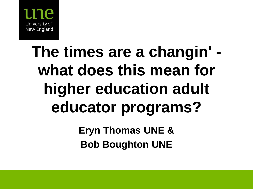

## **The times are a changin' what does this mean for higher education adult educator programs? Eryn Thomas UNE &**

**Bob Boughton UNE**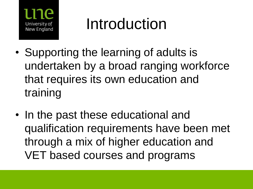

## Introduction

- Supporting the learning of adults is undertaken by a broad ranging workforce that requires its own education and training
- In the past these educational and qualification requirements have been met through a mix of higher education and VET based courses and programs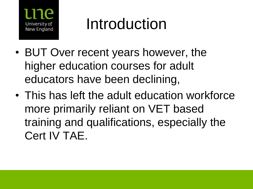

## Introduction

- BUT Over recent years however, the higher education courses for adult educators have been declining,
- This has left the adult education workforce more primarily reliant on VET based training and qualifications, especially the Cert IV TAE.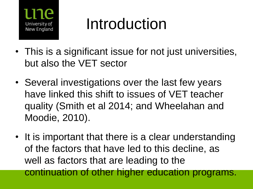

## Introduction

- This is a significant issue for not just universities, but also the VET sector
- Several investigations over the last few years have linked this shift to issues of VET teacher quality (Smith et al 2014; and Wheelahan and Moodie, 2010).
- It is important that there is a clear understanding of the factors that have led to this decline, as well as factors that are leading to the continuation of other higher education programs.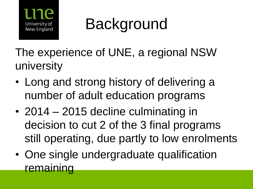

## **Background**

The experience of UNE, a regional NSW university

- Long and strong history of delivering a number of adult education programs
- 2014 2015 decline culminating in decision to cut 2 of the 3 final programs still operating, due partly to low enrolments
- One single undergraduate qualification **remaining**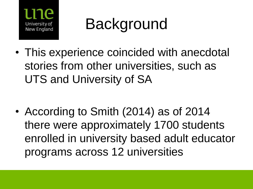

## **Background**

• This experience coincided with anecdotal stories from other universities, such as UTS and University of SA

• According to Smith (2014) as of 2014 there were approximately 1700 students enrolled in university based adult educator programs across 12 universities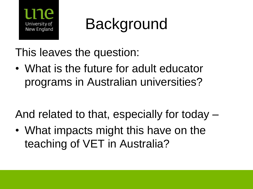

Background

This leaves the question:

• What is the future for adult educator programs in Australian universities?

And related to that, especially for today –

• What impacts might this have on the teaching of VET in Australia?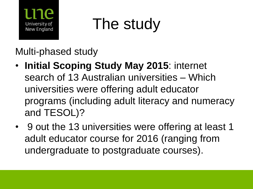

## The study

Multi-phased study

- **Initial Scoping Study May 2015**: internet search of 13 Australian universities – Which universities were offering adult educator programs (including adult literacy and numeracy and TESOL)?
- 9 out the 13 universities were offering at least 1 adult educator course for 2016 (ranging from undergraduate to postgraduate courses).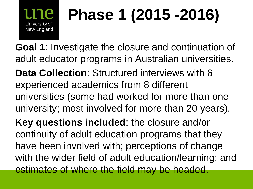#### **Phase 1 (2015 -2016)** University of New England

**Goal 1**: Investigate the closure and continuation of adult educator programs in Australian universities. **Data Collection**: Structured interviews with 6 experienced academics from 8 different universities (some had worked for more than one university; most involved for more than 20 years).

**Key questions included**: the closure and/or continuity of adult education programs that they have been involved with; perceptions of change with the wider field of adult education/learning; and estimates of where the field may be headed.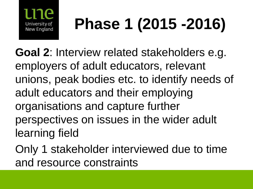

# **Phase 1 (2015 -2016)**

**Goal 2**: Interview related stakeholders e.g. employers of adult educators, relevant unions, peak bodies etc. to identify needs of adult educators and their employing organisations and capture further perspectives on issues in the wider adult learning field

Only 1 stakeholder interviewed due to time and resource constraints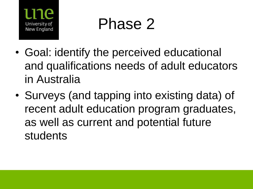

## Phase 2

- Goal: identify the perceived educational and qualifications needs of adult educators in Australia
- Surveys (and tapping into existing data) of recent adult education program graduates, as well as current and potential future students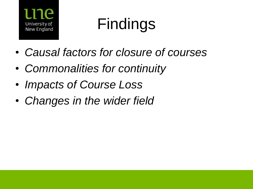

## Findings

- *Causal factors for closure of courses*
- *Commonalities for continuity*
- *Impacts of Course Loss*
- *Changes in the wider field*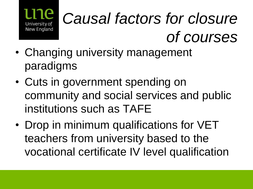

## *Causal factors for closure of courses*

- Changing university management paradigms
- Cuts in government spending on community and social services and public institutions such as TAFE
- Drop in minimum qualifications for VET teachers from university based to the vocational certificate IV level qualification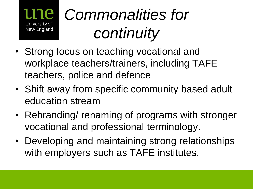

- Strong focus on teaching vocational and workplace teachers/trainers, including TAFE teachers, police and defence
- Shift away from specific community based adult education stream
- Rebranding/ renaming of programs with stronger vocational and professional terminology.
- Developing and maintaining strong relationships with employers such as TAFE institutes.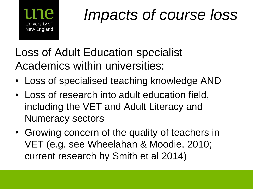

## *Impacts of course loss*

Loss of Adult Education specialist Academics within universities:

- Loss of specialised teaching knowledge AND
- Loss of research into adult education field, including the VET and Adult Literacy and Numeracy sectors
- Growing concern of the quality of teachers in VET (e.g. see Wheelahan & Moodie, 2010; current research by Smith et al 2014)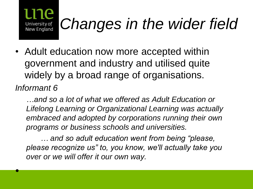

## *Changes in the wider field*

• Adult education now more accepted within government and industry and utilised quite widely by a broad range of organisations.

*Informant 6* 

•

*…and so a lot of what we offered as Adult Education or Lifelong Learning or Organizational Learning was actually embraced and adopted by corporations running their own programs or business schools and universities.*

*… and so adult education went from being "please, please recognize us" to, you know, we'll actually take you over or we will offer it our own way.*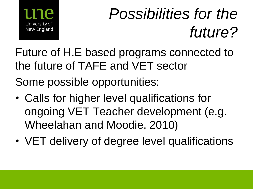

## *Possibilities for the future?*

Future of H.E based programs connected to the future of TAFE and VET sector Some possible opportunities:

- Calls for higher level qualifications for ongoing VET Teacher development (e.g. Wheelahan and Moodie, 2010)
- VET delivery of degree level qualifications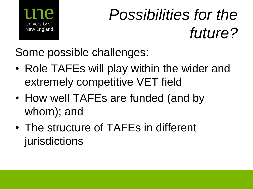

## *Possibilities for the future?*

Some possible challenges:

- Role TAFEs will play within the wider and extremely competitive VET field
- How well TAFEs are funded (and by whom); and
- The structure of TAFEs in different jurisdictions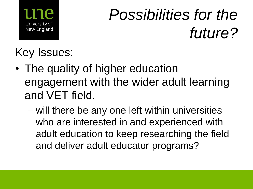

## *Possibilities for the future?*

#### Key Issues:

- The quality of higher education engagement with the wider adult learning and VET field.
	- will there be any one left within universities who are interested in and experienced with adult education to keep researching the field and deliver adult educator programs?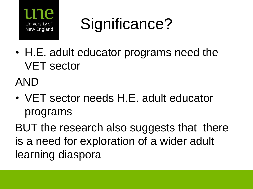

Significance?

• H.E. adult educator programs need the VET sector

AND

• VET sector needs H.E. adult educator programs

BUT the research also suggests that there is a need for exploration of a wider adult learning diaspora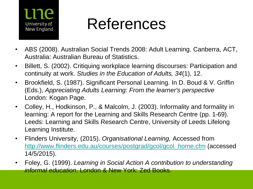

## References

- ABS (2008). Australian Social Trends 2008: Adult Learning. Canberra, ACT, Australia: Australian Bureau of Statistics.
- Billett, S. (2002). Critiquing workplace learning discourses: Participation and continuity at work. *Studies in the Education of Adults, 34*(1), 12.
- Brookfield, S. (1987). Significant Personal Learning. In D. Boud & V. Griffin (Eds.), *Appreciating Adults Learning: From the learner's perspective*  London: Kogan Page.
- Colley, H., Hodkinson, P., & Malcolm, J. (2003). Informality and formality in learning: A report for the Learning and Skills Research Centre (pp. 1-69). Leeds: Learning and Skills Research Centre, University of Leeds Lifelong Learning Institute.
- Flinders University, (2015). *Organisational Learning,* Accessed from [http://www.flinders.edu.au/courses/postgrad/gcol/gcol\\_home.cfm](http://www.flinders.edu.au/courses/postgrad/gcol/gcol_home.cfm) (accessed 14/5/2015).
- Foley, G. (1999). *Learning in Social Action A contribution to understanding informal education*. London & New York: Zed Books.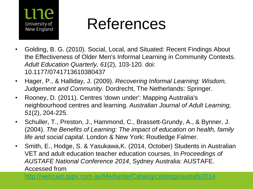

## References

- Golding, B. G. (2010). Social, Local, and Situated: Recent Findings About the Effectiveness of Older Men's Informal Learning in Community Contexts. *Adult Education Quarterly, 61*(2), 103-120. doi: 10.1177/0741713610380437
- Hager, P., & Halliday, J. (2009). *Recovering Informal Learning: Wisdom, Judgement and Community*. Dordrecht, The Netherlands: Springer.
- Rooney, D. (2011). Centres 'down under': Mapping Australia's neighbourhood centres and learning. *Australian Journal of Adult Learning, 51*(2), 204-225.
- Schuller, T., Preston, J., Hammond, C., Brassett-Grundy, A., & Bynner, J. (2004). *The Benefits of Learning: The impact of education on health, family life and social capital*. London & New York: Routledge Falmer.
- Smith, E., Hodge, S. & Yasukawa,K. (2014, October) Students in Australian VET and adult education teacher education courses, In *Proceedings of AUSTAFE National Conference 2014*, Sydney Australia: AUSTAFE. Accessed from

<http://webcast.gigtv.com.au/Mediasite/Catalog/catalogs/austafe2014>